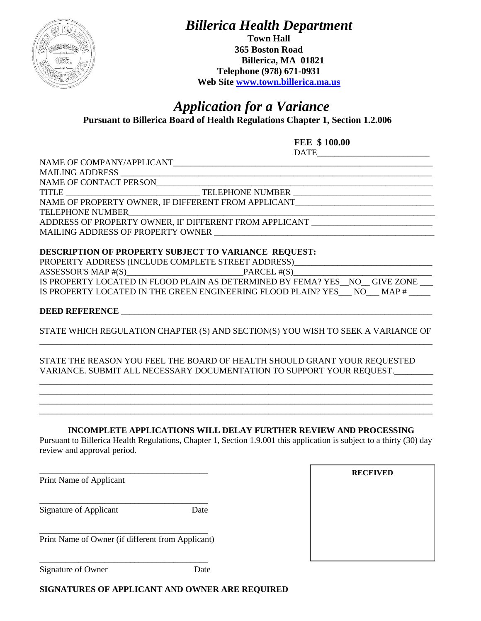

*Billerica Health Department*

**Town Hall 365 Boston Road Billerica, MA 01821 Telephone (978) 671-0931 Web Site [www.town.billerica.ma.us](http://www.town.billerica.ma.us/)**

## *Application for a Variance* **Pursuant to Billerica Board of Health Regulations Chapter 1, Section 1.2.006**

**FEE \$ 100.00** DATE\_\_\_\_\_\_\_\_\_\_\_\_\_\_\_\_\_\_\_\_\_\_\_\_\_\_

NAME OF COMPANY/APPLICANT

MAILING ADDRESS \_\_\_\_\_\_\_\_\_\_\_\_\_\_\_\_\_\_\_\_\_\_\_\_\_\_\_\_\_\_\_\_\_\_\_\_\_\_\_\_\_\_\_\_\_\_\_\_\_\_\_\_\_\_\_\_\_\_\_\_\_\_\_\_\_\_\_\_\_\_\_\_ NAME OF CONTACT PERSON\_\_\_\_\_\_\_\_\_\_\_\_\_\_\_\_\_\_\_\_\_\_\_\_\_\_\_\_\_\_\_\_\_\_\_\_\_\_\_\_\_\_\_\_\_\_\_\_\_\_\_\_\_\_\_\_\_\_\_\_\_\_\_\_

TITLE TITLE TELEPHONE NUMBER NAME OF PROPERTY OWNER, IF DIFFERENT FROM APPLICANT

TELEPHONE NUMBER ADDRESS OF PROPERTY OWNER, IF DIFFERENT FROM APPLICANT MAILING ADDRESS OF PROPERTY OWNER

### **DESCRIPTION OF PROPERTY SUBJECT TO VARIANCE REQUEST:**

|                      | PROPERTY ADDRESS (INCLUDE COMPLETE STREET ADDRESS)                         |      |
|----------------------|----------------------------------------------------------------------------|------|
| ASSESSOR'S MAP # (S) | PARCEL $#(S)$                                                              |      |
|                      | IS PROPERTY LOCATED IN FLOOD PLAIN AS DETERMINED BY FEMA? YES NO GIVE ZONE |      |
|                      | IS PROPERTY LOCATED IN THE GREEN ENGINEERING FLOOD PLAIN? YES NO           | MAP# |

### **DEED REFERENCE** \_\_\_\_\_\_\_\_\_\_\_\_\_\_\_\_\_\_\_\_\_\_\_\_\_\_\_\_\_\_\_\_\_\_\_\_\_\_\_\_\_\_\_\_\_\_\_\_\_\_\_\_\_\_\_\_\_\_\_\_\_\_\_\_\_\_\_\_\_\_\_\_

STATE WHICH REGULATION CHAPTER (S) AND SECTION(S) YOU WISH TO SEEK A VARIANCE OF \_\_\_\_\_\_\_\_\_\_\_\_\_\_\_\_\_\_\_\_\_\_\_\_\_\_\_\_\_\_\_\_\_\_\_\_\_\_\_\_\_\_\_\_\_\_\_\_\_\_\_\_\_\_\_\_\_\_\_\_\_\_\_\_\_\_\_\_\_\_\_\_\_\_\_\_\_\_\_\_\_\_\_\_\_\_\_\_\_\_\_

\_\_\_\_\_\_\_\_\_\_\_\_\_\_\_\_\_\_\_\_\_\_\_\_\_\_\_\_\_\_\_\_\_\_\_\_\_\_\_\_\_\_\_\_\_\_\_\_\_\_\_\_\_\_\_\_\_\_\_\_\_\_\_\_\_\_\_\_\_\_\_\_\_\_\_\_\_\_\_\_\_\_\_\_\_\_\_\_\_\_\_ \_\_\_\_\_\_\_\_\_\_\_\_\_\_\_\_\_\_\_\_\_\_\_\_\_\_\_\_\_\_\_\_\_\_\_\_\_\_\_\_\_\_\_\_\_\_\_\_\_\_\_\_\_\_\_\_\_\_\_\_\_\_\_\_\_\_\_\_\_\_\_\_\_\_\_\_\_\_\_\_\_\_\_\_\_\_\_\_\_\_\_ \_\_\_\_\_\_\_\_\_\_\_\_\_\_\_\_\_\_\_\_\_\_\_\_\_\_\_\_\_\_\_\_\_\_\_\_\_\_\_\_\_\_\_\_\_\_\_\_\_\_\_\_\_\_\_\_\_\_\_\_\_\_\_\_\_\_\_\_\_\_\_\_\_\_\_\_\_\_\_\_\_\_\_\_\_\_\_\_\_\_\_ \_\_\_\_\_\_\_\_\_\_\_\_\_\_\_\_\_\_\_\_\_\_\_\_\_\_\_\_\_\_\_\_\_\_\_\_\_\_\_\_\_\_\_\_\_\_\_\_\_\_\_\_\_\_\_\_\_\_\_\_\_\_\_\_\_\_\_\_\_\_\_\_\_\_\_\_\_\_\_\_\_\_\_\_\_\_\_\_\_\_\_

#### STATE THE REASON YOU FEEL THE BOARD OF HEALTH SHOULD GRANT YOUR REQUESTED VARIANCE. SUBMIT ALL NECESSARY DOCUMENTATION TO SUPPORT YOUR REQUEST.\_\_\_\_\_\_\_\_\_

#### **INCOMPLETE APPLICATIONS WILL DELAY FURTHER REVIEW AND PROCESSING**

Pursuant to Billerica Health Regulations, Chapter 1, Section 1.9.001 this application is subject to a thirty (30) day review and approval period.

Print Name of Applicant

Signature of Applicant Date

\_\_\_\_\_\_\_\_\_\_\_\_\_\_\_\_\_\_\_\_\_\_\_\_\_\_\_\_\_\_\_\_\_\_\_\_\_\_\_

\_\_\_\_\_\_\_\_\_\_\_\_\_\_\_\_\_\_\_\_\_\_\_\_\_\_\_\_\_\_\_\_\_\_\_\_\_\_\_ Print Name of Owner (if different from Applicant)

\_\_\_\_\_\_\_\_\_\_\_\_\_\_\_\_\_\_\_\_\_\_\_\_\_\_\_\_\_\_\_\_\_\_\_\_\_\_\_

\_\_\_\_\_\_\_\_\_\_\_\_\_\_\_\_\_\_\_\_\_\_\_\_\_\_\_\_\_\_\_\_\_\_\_\_\_\_\_

**RECEIVED**

Signature of Owner Date